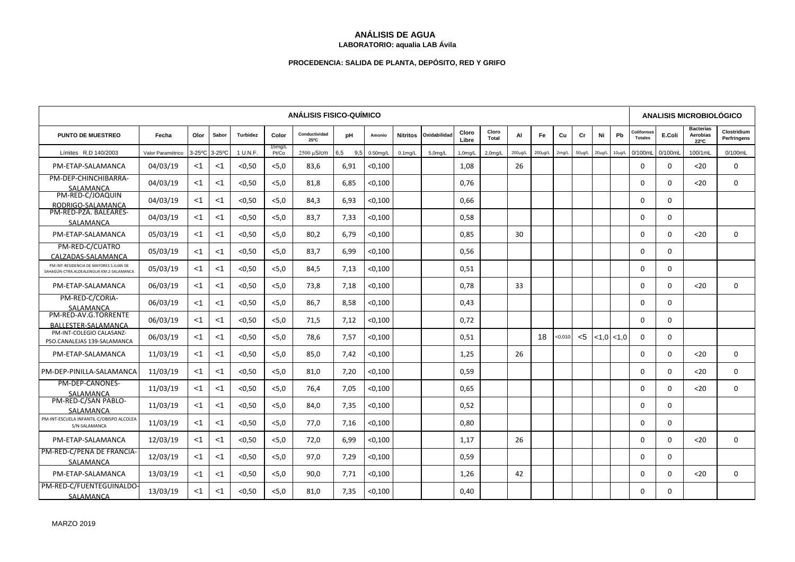## **ANÁLISIS DE AGUA LABORATORIO: aqualia LAB Ávila**

## **PROCEDENCIA: SALIDA DE PLANTA, DEPÓSITO, RED Y GRIFO**

| <b>ANÁLISIS FISICO-QUÍMICO</b>                                                    |                   |       |               |                 |                 |                       |            |             |            |              |                      |                       |               |               | <b>ANALISIS MICROBIOLÓGICO</b> |              |             |                 |                                     |          |                                      |                            |
|-----------------------------------------------------------------------------------|-------------------|-------|---------------|-----------------|-----------------|-----------------------|------------|-------------|------------|--------------|----------------------|-----------------------|---------------|---------------|--------------------------------|--------------|-------------|-----------------|-------------------------------------|----------|--------------------------------------|----------------------------|
| <b>PUNTO DE MUESTREO</b>                                                          | Fecha             | Olor  | Sabor         | <b>Turbidez</b> | Color           | Conductividad<br>25°C | рH         | Amonio      | Nitritos   | Oxidabilidad | Cloro<br>Libre       | Cloro<br><b>Total</b> | AI            | Fe            | Cu                             | Cr           | Ni          | Pb              | <b>Coliformes</b><br><b>Totales</b> | E.Coli   | <b>Bacterias</b><br>Aerobias<br>22°C | Clostridium<br>Perfringens |
| Límites R.D 140/2003                                                              | Valor Paramétrico |       | 3-25°C 3-25°C | 1 U.N.F.        | 15mg/L<br>Pt/Co | $2500 \mu$ S/cm       | 6,5<br>9,5 | $0.50$ mg/L | $0.1$ mg/L | 5,0mg/L      | 1.0 <sub>mq</sub> /L | 2.0 <sub>m</sub> q/L  | $200 \mu g/L$ | $200 \mu g/L$ | 2mg/L                          | $50 \mu g/L$ | $20\mu g/L$ | $10\mu$ g/L     | 0/100mL                             | 0/100mL  | 100/1mL                              | 0/100mL                    |
| PM-ETAP-SALAMANCA                                                                 | 04/03/19          | $<$ 1 | $<$ 1         | < 0.50          | < 5.0           | 83,6                  | 6.91       | < 0,100     |            |              | 1,08                 |                       | 26            |               |                                |              |             |                 | $\Omega$                            | $\Omega$ | $20$                                 | $\Omega$                   |
| PM-DEP-CHINCHIBARRA-<br>SALAMANCA                                                 | 04/03/19          | $<$ 1 | $<$ 1         | < 0.50          | < 5.0           | 81,8                  | 6,85       | < 0,100     |            |              | 0,76                 |                       |               |               |                                |              |             |                 | 0                                   | $\Omega$ | $20$                                 | 0                          |
| PM-RED-C/JOAQUIN<br>RODRIGO-SALAMANCA                                             | 04/03/19          | $<$ 1 | $<$ 1         | < 0.50          | < 5.0           | 84,3                  | 6.93       | < 0,100     |            |              | 0.66                 |                       |               |               |                                |              |             |                 | $\Omega$                            | $\Omega$ |                                      |                            |
| PM-RED-PZA, BALEARES-<br>SALAMANCA                                                | 04/03/19          | $<$ 1 | $<$ 1         | < 0.50          | < 5.0           | 83,7                  | 7,33       | < 0,100     |            |              | 0,58                 |                       |               |               |                                |              |             |                 | $\Omega$                            | $\Omega$ |                                      |                            |
| PM-ETAP-SALAMANCA                                                                 | 05/03/19          | $<$ 1 | $<$ 1         | < 0.50          | < 5.0           | 80,2                  | 6,79       | < 0,100     |            |              | 0,85                 |                       | 30            |               |                                |              |             |                 | $\Omega$                            | $\Omega$ | $20$                                 | $\Omega$                   |
| PM-RED-C/CUATRO<br>CALZADAS-SALAMANCA                                             | 05/03/19          | $<$ 1 | $<$ 1         | < 0.50          | < 5.0           | 83,7                  | 6,99       | < 0,100     |            |              | 0,56                 |                       |               |               |                                |              |             |                 | $\Omega$                            | $\Omega$ |                                      |                            |
| PM-INT-RESIDENCIA DE MAYORES S.JUAN DE<br>SAHAGÚN-CTRA.ALDEALENGUA KM.2-SALAMANCA | 05/03/19          | $<$ 1 | $<$ 1         | < 0.50          | < 5.0           | 84,5                  | 7.13       | < 0,100     |            |              | 0,51                 |                       |               |               |                                |              |             |                 | $\Omega$                            | $\Omega$ |                                      |                            |
| PM-ETAP-SALAMANCA                                                                 | 06/03/19          | $<$ 1 | <1            | < 0.50          | < 5.0           | 73,8                  | 7,18       | < 0,100     |            |              | 0,78                 |                       | 33            |               |                                |              |             |                 | $\Omega$                            | $\Omega$ | $20$                                 | $\Omega$                   |
| PM-RED-C/CORIA-<br>SALAMANCA                                                      | 06/03/19          | $<$ 1 | <1            | < 0.50          | < 5.0           | 86,7                  | 8,58       | < 0,100     |            |              | 0,43                 |                       |               |               |                                |              |             |                 | $\Omega$                            | $\Omega$ |                                      |                            |
| PM-RED-AV.G.TORRENTE<br>BALLESTER-SALAMANCA                                       | 06/03/19          | $<$ 1 | <1            | < 0.50          | < 5.0           | 71,5                  | 7,12       | < 0,100     |            |              | 0,72                 |                       |               |               |                                |              |             |                 | $\Omega$                            | $\Omega$ |                                      |                            |
| PM-INT-COLEGIO CALASANZ-<br>PSO.CANALEJAS 139-SALAMANCA                           | 06/03/19          | $<$ 1 | $<$ 1         | < 0.50          | < 5.0           | 78.6                  | 7.57       | < 0.100     |            |              | 0.51                 |                       |               | 18            | 0.010                          | $5$          |             | $< 1.0$ $< 1.0$ | $\Omega$                            | $\Omega$ |                                      |                            |
| PM-ETAP-SALAMANCA                                                                 | 11/03/19          | $<$ 1 | $<$ 1         | < 0.50          | < 5.0           | 85,0                  | 7.42       | < 0,100     |            |              | 1,25                 |                       | 26            |               |                                |              |             |                 | $\Omega$                            | $\Omega$ | $20$                                 | $\Omega$                   |
| PM-DEP-PINILLA-SALAMANCA                                                          | 11/03/19          | $<$ 1 | $<$ 1         | < 0.50          | < 5.0           | 81,0                  | 7,20       | < 0,100     |            |              | 0,59                 |                       |               |               |                                |              |             |                 | 0                                   | 0        | $20$                                 | 0                          |
| PM-DEP-CAÑONES-<br>SALAMANCA                                                      | 11/03/19          | $<$ 1 | $<$ 1         | < 0.50          | < 5.0           | 76.4                  | 7.05       | $<$ 0,100   |            |              | 0.65                 |                       |               |               |                                |              |             |                 | $\Omega$                            | $\Omega$ | $20$                                 | $\mathbf{0}$               |
| PM-RED-C/SAN PABLO-<br>SALAMANCA                                                  | 11/03/19          | $<$ 1 | $<$ 1         | < 0.50          | < 5.0           | 84,0                  | 7,35       | < 0,100     |            |              | 0,52                 |                       |               |               |                                |              |             |                 | $\Omega$                            | $\Omega$ |                                      |                            |
| PM-INT-ESCUELA INFANTIL-C/OBISPO ALCOLEA<br>S/N-SALAMANCA                         | 11/03/19          | $<$ 1 | $<$ 1         | < 0.50          | < 5.0           | 77.0                  | 7,16       | < 0,100     |            |              | 0,80                 |                       |               |               |                                |              |             |                 | $\Omega$                            | $\Omega$ |                                      |                            |
| PM-ETAP-SALAMANCA                                                                 | 12/03/19          | $<$ 1 | $<$ 1         | < 0.50          | < 5.0           | 72,0                  | 6,99       | < 0,100     |            |              | 1,17                 |                       | 26            |               |                                |              |             |                 | $\Omega$                            | $\Omega$ | $20$                                 | $\Omega$                   |
| PM-RED-C/PEÑA DE FRANCIA-<br>SALAMANCA                                            | 12/03/19          | $<$ 1 | $<$ 1         | < 0.50          | < 5.0           | 97.0                  | 7,29       | < 0,100     |            |              | 0.59                 |                       |               |               |                                |              |             |                 | $\Omega$                            | $\Omega$ |                                      |                            |
| PM-ETAP-SALAMANCA                                                                 | 13/03/19          | $<$ 1 | $<$ 1         | < 0.50          | < 5.0           | 90,0                  | 7,71       | < 0,100     |            |              | 1,26                 |                       | 42            |               |                                |              |             |                 | $\Omega$                            | $\Omega$ | $20$                                 | $\Omega$                   |
| PM-RED-C/FUENTEGUINALDO-<br>SALAMANCA                                             | 13/03/19          | $<$ 1 | <1            | < 0.50          | < 5.0           | 81,0                  | 7,35       | < 0,100     |            |              | 0,40                 |                       |               |               |                                |              |             |                 | 0                                   | $\Omega$ |                                      |                            |